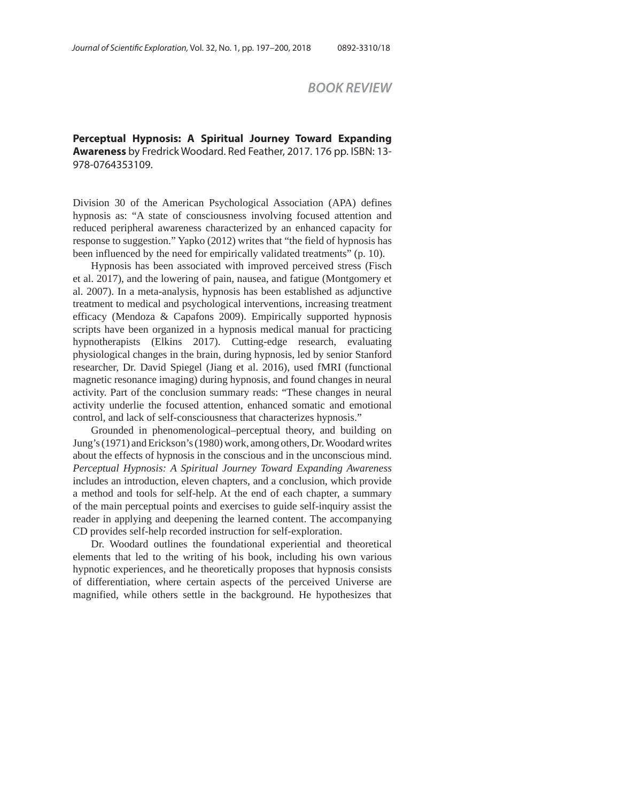*BOOK REVIEW* 

**Perceptual Hypnosis: A Spiritual Journey Toward Expanding Awareness** by Fredrick Woodard. Red Feather, 2017. 176 pp. ISBN: 13- 978-0764353109.

Division 30 of the American Psychological Association (APA) defines hypnosis as: "A state of consciousness involving focused attention and reduced peripheral awareness characterized by an enhanced capacity for response to suggestion." Yapko (2012) writes that "the field of hypnosis has been influenced by the need for empirically validated treatments" (p. 10).

Hypnosis has been associated with improved perceived stress (Fisch et al. 2017), and the lowering of pain, nausea, and fatigue (Montgomery et al. 2007). In a meta-analysis, hypnosis has been established as adjunctive treatment to medical and psychological interventions, increasing treatment efficacy (Mendoza & Capafons 2009). Empirically supported hypnosis scripts have been organized in a hypnosis medical manual for practicing hypnotherapists (Elkins 2017). Cutting-edge research, evaluating physiological changes in the brain, during hypnosis, led by senior Stanford researcher, Dr. David Spiegel (Jiang et al. 2016), used fMRI (functional magnetic resonance imaging) during hypnosis, and found changes in neural activity. Part of the conclusion summary reads: "These changes in neural activity underlie the focused attention, enhanced somatic and emotional control, and lack of self-consciousness that characterizes hypnosis."

Grounded in phenomenological–perceptual theory, and building on Jung's (1971) and Erickson's (1980) work, among others, Dr. Woodard writes about the effects of hypnosis in the conscious and in the unconscious mind. *Perceptual Hypnosis: A Spiritual Journey Toward Expanding Awareness* includes an introduction, eleven chapters, and a conclusion, which provide a method and tools for self-help. At the end of each chapter, a summary of the main perceptual points and exercises to guide self-inquiry assist the reader in applying and deepening the learned content. The accompanying CD provides self-help recorded instruction for self-exploration.

Dr. Woodard outlines the foundational experiential and theoretical elements that led to the writing of his book, including his own various hypnotic experiences, and he theoretically proposes that hypnosis consists of differentiation, where certain aspects of the perceived Universe are magnified, while others settle in the background. He hypothesizes that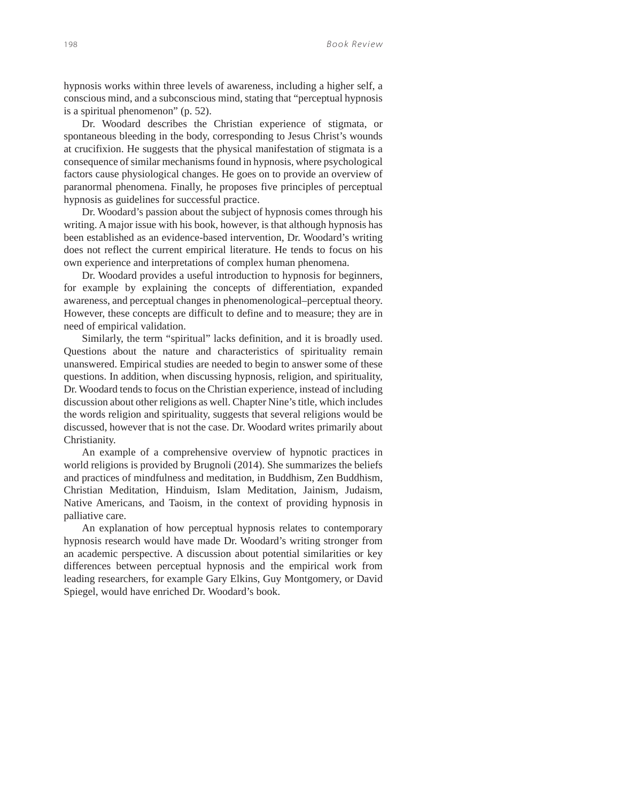hypnosis works within three levels of awareness, including a higher self, a conscious mind, and a subconscious mind, stating that "perceptual hypnosis is a spiritual phenomenon" (p. 52).

Dr. Woodard describes the Christian experience of stigmata, or spontaneous bleeding in the body, corresponding to Jesus Christ's wounds at crucifixion. He suggests that the physical manifestation of stigmata is a consequence of similar mechanisms found in hypnosis, where psychological factors cause physiological changes. He goes on to provide an overview of paranormal phenomena. Finally, he proposes five principles of perceptual hypnosis as guidelines for successful practice.

Dr. Woodard's passion about the subject of hypnosis comes through his writing. A major issue with his book, however, is that although hypnosis has been established as an evidence-based intervention, Dr. Woodard's writing does not reflect the current empirical literature. He tends to focus on his own experience and interpretations of complex human phenomena.

Dr. Woodard provides a useful introduction to hypnosis for beginners, for example by explaining the concepts of differentiation, expanded awareness, and perceptual changes in phenomenological–perceptual theory. However, these concepts are difficult to define and to measure; they are in need of empirical validation.

Similarly, the term "spiritual" lacks definition, and it is broadly used. Questions about the nature and characteristics of spirituality remain unanswered. Empirical studies are needed to begin to answer some of these questions. In addition, when discussing hypnosis, religion, and spirituality, Dr. Woodard tends to focus on the Christian experience, instead of including discussion about other religions as well. Chapter Nine's title, which includes the words religion and spirituality, suggests that several religions would be discussed, however that is not the case. Dr. Woodard writes primarily about Christianity.

An example of a comprehensive overview of hypnotic practices in world religions is provided by Brugnoli (2014). She summarizes the beliefs and practices of mindfulness and meditation, in Buddhism, Zen Buddhism, Christian Meditation, Hinduism, Islam Meditation, Jainism, Judaism, Native Americans, and Taoism, in the context of providing hypnosis in palliative care.

An explanation of how perceptual hypnosis relates to contemporary hypnosis research would have made Dr. Woodard's writing stronger from an academic perspective. A discussion about potential similarities or key differences between perceptual hypnosis and the empirical work from leading researchers, for example Gary Elkins, Guy Montgomery, or David Spiegel, would have enriched Dr. Woodard's book.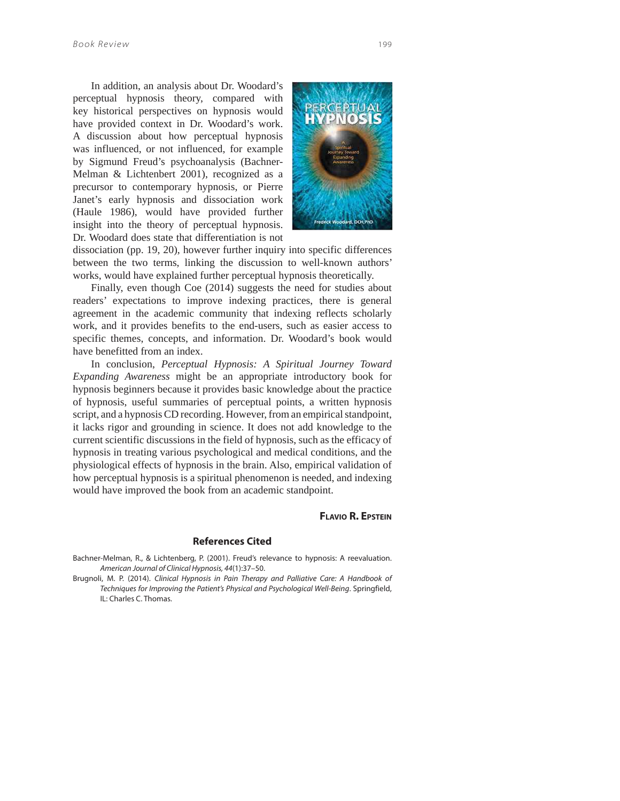In addition, an analysis about Dr. Woodard's perceptual hypnosis theory, compared with key historical perspectives on hypnosis would have provided context in Dr. Woodard's work. A discussion about how perceptual hypnosis was influenced, or not influenced, for example by Sigmund Freud's psychoanalysis (Bachner-Melman & Lichtenbert 2001), recognized as a precursor to contemporary hypnosis, or Pierre Janet's early hypnosis and dissociation work (Haule 1986), would have provided further insight into the theory of perceptual hypnosis. Dr. Woodard does state that differentiation is not



dissociation (pp. 19, 20), however further inquiry into specific differences between the two terms, linking the discussion to well-known authors' works, would have explained further perceptual hypnosis theoretically.

Finally, even though Coe (2014) suggests the need for studies about readers' expectations to improve indexing practices, there is general agreement in the academic community that indexing reflects scholarly work, and it provides benefits to the end-users, such as easier access to specific themes, concepts, and information. Dr. Woodard's book would have benefitted from an index.

In conclusion, *Perceptual Hypnosis: A Spiritual Journey Toward Expanding Awareness* might be an appropriate introductory book for hypnosis beginners because it provides basic knowledge about the practice of hypnosis, useful summaries of perceptual points, a written hypnosis script, and a hypnosis CD recording. However, from an empirical standpoint, it lacks rigor and grounding in science. It does not add knowledge to the current scientific discussions in the field of hypnosis, such as the efficacy of hypnosis in treating various psychological and medical conditions, and the physiological effects of hypnosis in the brain. Also, empirical validation of how perceptual hypnosis is a spiritual phenomenon is needed, and indexing would have improved the book from an academic standpoint.

## **FLAVIO R. EPSTEIN**

## **References Cited**

Bachner-Melman, R., & Lichtenberg, P. (2001). Freud's relevance to hypnosis: A reevaluation. American Journal of Clinical Hypnosis, 44(1):37–50.

Brugnoli, M. P. (2014). Clinical Hypnosis in Pain Therapy and Palliative Care: A Handbook of Techniques for Improving the Patient's Physical and Psychological Well-Being. Springfield, IL: Charles C. Thomas.